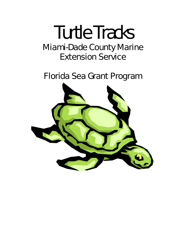# Turtle Tracks Miami-Dade County Marine Extension Service

Florida Sea Grant Program

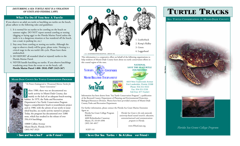#### *DISTURBING A SEA TURTLE NEST IS A VIOLATION OF STATE AND FEDERAL LAWS.*

### What To Do If You See A Turtle

If you observe an adult sea turtle or hatchling sea turtles on the beach, please adhere to the following rules and guidelines:

- 1. It is normal for sea turtles to be crawling on the beach on summer nights. DO NOT report normal crawling or nesting (digging or laying eggs) to the Florida Marine Patrol unless the turtle is in a dangerous situation or has wandered off the beach. (on a road, in parking lot, etc.)
- 2. Stay away from crawling or nesting sea turtles. Although the urge to observe closely will be great, please resist. Nesting is a critical stage in the sea turtle's life cycle. Please leave them undisturbed.
- 3. DO REPORT all stranded (dead or injured) turtles to the Florida Marine Patrol.
- 4. NEVER handle hatchling sea turtles. If you observe hatchlings wandering away from the ocean or on the beach, call: Florida Marine Patrol 1-800- DIAL-FMP (3425-367)

#### **MIAMI-DADE COUNTY SEA TURTLE CONSERVATION PROGRAM**

"*To Protect Endangered or Threatened Marine Turtles for Future Generations"*

B efore 1980, there was no documented sea turtle activity in Miami-Dade County, due mainly to the lack of an adequate beach-nesting  $\overline{\text{habitat}}$ . In 1979, the Parks and Recreation Department's Sea Turtle Conservation Program began a comprehensive beach re-nourishment project and in 1980, with the advent of our newly re-nourished beaches, sea turtle activity started to prosper. Today, the program has documented over 3,886 nests, which has resulted in the release of over 356,414 hatchlings.

10800 Collins Avenue Miami Beach, Florida 33154 (305) 947-3525



This information is a cooperative effort on behalf of the following organizations to help residents of Miami-Dade County learn about sea turtle conservation efforts in this coastal region of the state.

# YAMAHA HELL CONTENDER **MIAMI BILLFISH TOURNAMENT**



4419 West Tradewinds Avenue Fort Lauderdale, Floirda 33308 Phone: 954-351-9333 Fax: 954-351-5530 Toll Free: 877-Turtle3

**NATIONAL SAVE THE SEATURTLE FOUNDATION**

Information has been drawn from "Sea Turtle Conservation Program", a publication of the Broward County Department of Planning and Environmental Protection, Biological Resources Division. Photos have been provided courtesy of Miami-Dade County Parks and Recreation Department.

For further information, please contact the Florida Sea Grant Marine Extension Agent at:

Florida Sea Grant College Program RSMAS 4600 Rickenbacker Causeway Miami, FL 33149-1098 (305) 361-4017

SGEF-141

*Florida Sea Grant is the only statewide, university-based coastal research, education, extension/outreach and communications program in Florida.*

www.FlSeaGrant.org

• Save and See a Sea T urtle Friend • **• Save Our Sea Turtles • Be A Lifesa** ver Friend •

# TURTLE TRACKS

*SEA TURTLE CONSERVATION IN MIAMI-DADE COUNTY*





*Florida Sea Grant College Program*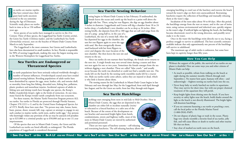S<br>S ea turtles are marine reptiles that have existed since their giant land turtle ancestors returned to the sea sometime during the Age of Dinosaurs. Scientific study places sea turtles back in time as far as 150 million years ago.



Seven species of sea turtles have managed to survive to the 21st Century. Three of these species, the Loggerhead Sea Turtle (Caretta caretta), the Green Sea Turtle (*Chelonia mydas*), and the Leatherback Sea Turtle (*Dermochelys coriacea*), nest on the beaches of Miami-Dade County from March to early September.

The Loggerhead is the most common, but Greens and Leatherbacks have also been documented in small numbers. In fact, Florida is responsible for 90% of nesting Loggerheads, making this state the largest nesting area in the Western Hemisphere for Loggerhead Sea Turtles.

# Sea Turtles are Endangered or Threatened Species

 $\overline{\mathfrak{g}}$ ea turtle populations have been seriously reduced worldwide through a number of human influences. Overdeveloped coastal areas have eroded natural nesting habitats. Breeding populations of adult turtles have been diminished by capture for eggs, meat, leather, oils, and tortoise shell, or mortality from long line fishing, discarded nets, fishing line, pollution, plastic products and motorboat injuries. Incidental captures of adults in fishing nets and shrimp trawls have brought one species, the Kemp's Ridley (*Lepidochelys kempi*), right to the brink of extinction. At one time, many feared the Kemps would vanish completely from our ecosystem.

For these reasons, the Marine Turtle Protection Program protects ALL sea turtles. Sea turtles in Florida are protected through Florida Statutes, Chapter 370.12(11-c-1) and by the Untied States Endangered Species Act of 1973. Briefly these laws state that: "No person may take, harass, harm, hunt, pursue, shoot, wound, kill, trap, capture or attempt to engage in any such conduct to marine turtles, turtle nests, and/or turtle eggs." Any persons who knowingly violate any provision of the act may be assessed civil penalties up to \$25,000 or a criminal penalty up to \$50,000 and up to one (1) year imprisonment.

Of the species that nest in Miami-Dade County, the Green and the Leatherback sea turtles are listed officially as endangered. The Florida population of Loggerheads is considered threatened.

## Sea Turtle Nesting Behavior

N esting begins in Miami-Dade County in late February. If undisturbed, the female leaves the ocean and crawls up the beach to a point well above the high tide line. There, using her rear flippers, she digs an egg chamber about 9 inches in diameter. Loggerheads and Greens will dig a chamber from 18 to 24 inches deep; a Leatherback's nest chamber can be as deep as 36 inches. After resting briefly, she deposits from 60 to 180 eggs that are soft and range from the

size of a ping - pong ball to, in the case of a Leatherback, the size of a tennis ball. After she has deposited her eggs in the chamber, she uses her rear flippers again to cover the eggs with sand. She then energetically throws sand backward with her front flippers to cover and disguise the exact location of the nest chamber. She then leaves the nest site and returns to the sea.



Since sea turtles do not nurture their hatchlings, the female never returns to the nest site. A single female may nest several times during a season and then not nest again for one or two years. Sometimes the female emerges from the sea without digging a nest chamber. These are called "false crawls " and usually occur because the turtle was disturbed or could not find a suitable nest site. The tracks left on the beach by the nesting turtle resembles marks left by a tractor tire. Male sea turtles rarely come ashore, unless they are injured or dead, which is why little is known about them.

The nesting season for the Leatherback in Miami-Dade Count begins in late February and runs through late May; for the Loggerhead, from mid-April through late August; and for the Green sea turtle, from late May through mid-August.

## Sea Turtle Hatchlings

H atchlings start emerging from nests in mid-July to Mid-October. Here in Miami-Dade County, the eggs that are deposited in the chamber are either left to incubate naturally *(insitu)* or relocated to a fenced hatchery or a safer area of the beach. Because of the extent of the development on our beaches and associated bright lights from hotels, condominiums, streets and highway traffic, most of the nests in Miami-Dade County are moved by authorized and permitted personnel.

There are two types of hatchery systems – self-releasing and restraining hatcheries. The self-releasing hatchery allows the



emerging hatchling to crawl out of the hatchery and traverse the beach toward the water's edge on their own unencumbered. Restraining hatcheries require the collection of hatchlings and manually releasing them at the water's edge.

Incubation of the nests takes about 50 to 60 days. After this period, the hatchlings emerge from the nest en masse, and in the case of insitu nests, using various environmental and inherited cues, quickly migrate to the water's edge. If artificial lights are lighting the beach, the hatchlings become disoriented, travel in the wrong direction, and possibly never make it to the water.

Once in the water the hatchlings swim directly out to sea, facing a perilous struggle to survive to adulthood. The best scientific estimates available indicate that only approximately one percent of the hatchlings will survive to adulthood.

The maximum age of adult turtles is unknown, but some have been kept in captivity longer than fifty years.

#### How You Can Help

Without the support of the public, the survival of sea turtles on our planet is doubtful. Here are some ways you and other citizens of Miami-Dade can help:

- As much as possible, refrain from walking on the beach at night during the summer months (March through mid-September.). No matter how quiet, humans will often – and unknowingly – frighten nesting sea turtles back into the sea.
- Never keep baby or newly hatched sea turtles in aquariums. They may survive for short time, but with out proper chemical treatment of the aquarium they will perish.
- Keep bright lights from shining onto the beach. If you have security or safety lights near the beach, build shades around the light so the beach is not directly illuminated. The bright lights will disorient hatchlings.
- If you see someone harassing a sea turtle or poaching a nest, call the local police or the Florida Marine Patrol (1-800-DIAL-FMP).
- Do not dispose of plastic bags or trash in the ocean. Plastic bags very closely resemble a favorite food of sea turtles, jelly fish, and will cause illness or death to turtles and other marine life that eat them.
- Stay clear of marked sea turtle nests on the beach.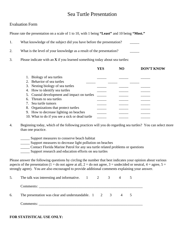# Sea Turtle Presentation

## Evaluation Form

Please rate the presentation on a scale of 1 to 10, with 1 being **"Least"** and 10 being **"Most."**

1. What knowledge of the subject did you have before the presentation?

2. What is the level of your knowledge as a result of the presentation?

3. Please indicate with an **X** if you learned something today about sea turtles:

|    |                                                 | YES | <b>DON'T KNOW</b> |
|----|-------------------------------------------------|-----|-------------------|
|    | 1. Biology of sea turtles                       |     |                   |
|    | 2. Behavior of sea turtles                      |     |                   |
|    | 3. Nesting biology of sea turtles               |     |                   |
|    | 4. How to identify sea turtles                  |     |                   |
|    | 5. Coastal development and impact on turtles    |     |                   |
|    | 6. Threats to sea turtles                       |     |                   |
|    | 7. Sea turtle tumors                            |     |                   |
| 8. | Organizations that protect turtles              |     |                   |
|    | 9. How to decrease lighting on beaches          |     |                   |
|    | 10. What to do if you see a sick or dead turtle |     |                   |

4. Beginning today, which of the following practices will you do regarding sea turtles? You can select more than one practice.

- \_\_\_\_\_ Support measures to conserve beach habitat
- \_\_\_\_\_ Support measures to decrease light pollution on beaches
- \_\_\_\_\_ Contact Florida Marine Patrol for any sea turtle related problems or questions
- \_\_\_\_\_ Support research and education efforts on sea turtles

Please answer the following questions by circling the number that best indicates your opinion about various aspects of the presentation (1 = do not agree at all, 2 = do not agree, 3 = undecided or neutral, 4 = agree,  $5 =$ strongly agree). You are also encouraged to provide additional comments explaining your answer.

| 5. The talk was interesting and informative. 1 2 3 4                      |  |  |  |
|---------------------------------------------------------------------------|--|--|--|
| Comments:                                                                 |  |  |  |
| 6. The presentation was clear and understandable. $1 \t 2 \t 3 \t 4 \t 5$ |  |  |  |
| Comments:                                                                 |  |  |  |

## **FOR STATISTICAL USE ONLY:**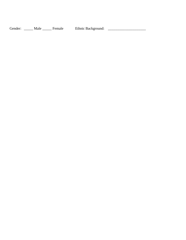Gender: \_\_\_\_\_ Male \_\_\_\_\_ Female Ethnic Background: \_\_\_\_\_\_\_\_\_\_\_\_\_\_\_\_\_\_\_\_\_\_\_\_\_\_\_\_\_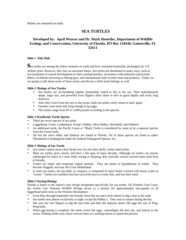Bullets are animated on slides

# **SEA TURTLES**

## **Developed by: April Weaver and Dr. Mark Hostetler, Department of Wildlife Ecology and Conservation, University of Florida, PO Box 110430, Gainesville, FL 32611**

#### **Slide 1 Title Slide**

Sea turtles are among the oldest creatures on earth and have remained essentially unchanged for 110 million years. However, they face an uncertain future. Sea turtles are threatened in many ways, such as encroachment of coastal development on their nesting beaches, encounters with pollutants and marine debris, accidental drowning in fishing gear, and international trade in turtle meat and products. Today we are going to talk about some of these issues and discuss a little turtle biology as well.

#### **Slide 2 Biology of Sea Turtles**

- Sea turtles are air-breathing reptiles remarkably suited to life in the sea. Their hydrodynamic shape, large size, and powerful front flippers allow them to dive to great depths and swim long distances.
- After they crawl from the nest to the ocean, male sea turtles rarely return to land again.
- Females came back only long enough to lay eggs.
- The turtles range from 85 to 2,000 pounds according to the species.

#### **Slide 3 Worldwide Turtle Species**

- There are seven species of sea turtle.
- Loggerhead, Green, Leatherback, Kemp's Ridley, Olive Ridley, Hawksbill, and Flatback.
- An additional turtle, the Pacific Green or "Black Turtle is considered by some to be a separate species from the Green turtle.
- All but the olive ridley and flatback are found in Florida. All of these species are listed as either Threatened or Endangered under the Federal Endangered Species Act.

#### **Slide 4 Biology of Sea Turtle**

- Sea turtles cannot retract their heads very far into their shells, unlike land turtles.
- Most sea turtles grow slowly and have a life span of many decades. Although sea turtles can remain submerged for hours at a time while resting or sleeping, they typically surface several times each hour to breathe.
- Turtles are tropic and temperate region animals. They are prone to hypothermia in winter. They become sluggish, and may die if not rehibilitated.
- In most sea turtles, the top shell, or carapace, is composed of many bones covered with horny scales or "scutes." Turtles are toothless but have powerful jaws to crush, bite, and tear their food.

#### **Slide 5 Nesting Biology**

Florida is home to the nation's only refuge designated specifically for sea turtles. On Florida's East Coast, the Archie Carr National Wildlife Refuge serves as a nursery for approximately one-quarter of all loggerhead turtle nests in the Western Hemisphere.

- From May through September the females leave the sea and crawls ashore to dig a nest in the sand.
- Sea turtles nest almost exclusively at night, except the Ridley's. They nest in masses during the day.
- She uses her rear flippers to dig the nest hole and then she deposits about 100 eggs the size of Ping-Pong balls.
- When egg laying is complete, the turtle covers the eggs, camouflages the nest site, and returns to the ocean. Nesting turtles may return several times in a nesting season to repeat the process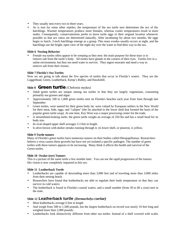- They usually nest every two to three years.
- As is true for some other reptiles, the temperature of the sea turtle nest determines the sex of the hatchlings. Warmer temperatures produce more females, whereas cooler temperatures result in more males. Consequently, conservationists prefer to leave turtle eggs in their original location whenever possible so that sex ratios are determined naturally. After incubating for about two months, the eggs begin to hatch. 2-inch hatchlings emerge as a group. This mass exodus usually occurs at night, and the hatchlings use the bright, open view of the night sky over the water to find their way to the sea.

#### **Slide 6 Nesting Behavior**

• Female sea turtles often appear to be weeping as they nest: the main purpose for these tears is to remove salt from the turtle's body. All turtles have glands in the corners of their eyes. Turtles live in a saline environment, but they too need water to survive. They ingest seawater and need a way to remove salt from their tissues.

#### **Slide 7 Florida's Sea Turtles**

Now we are going to talk about the five species of turtles that occur in Florida's waters. They are the Loggerhead, Green, Leatherback, Kemp's Ridley, and Hawksbill.

## **Slide 8 Green turtle** *(Chelonia mydas)*

- Adult green turtles are unique among sea turtles in that they are largely vegetarians, consuming primarily sea grasses and algae.
- Approximately 100 to 1,000 green turtles nest on Florida's beaches each year from June through late September.
- Green turtles, were named for their green body fat, were valued by European settlers in the New World for their meat, hide, eggs, and "calipee" (the fat attached to the lower shell that formed the basis of the popular green turtle soup). At one time, Key West was a major processing center for the trade.
- A streamlined-looking turtle, the green turtle weighs an average of 350 lbs and has a small head for its body size.
- Its oval-shaped upper shell averages 3.3 feet in length.
- Is olive-brown with darker streaks running through it; its lower shell, or plastron, is yellow.

#### **Slide 9 Turtle tumors**

Many of Florida's green turtles have numerous tumors on their bodies called fibropapillomas. Researchers believe a virus causes these growths but have not yet isolated a specific pathogen. The number of green turtles with these tumors appears to be increasing. Many think it affects the health and survival of the Green turtles.

#### **Slide 10 Ocular (eye) Tumors**

This is a picture of the same turtle a few months later. You can see the rapid progression of the tumors. Her vision is now completely impaired in this eye.

#### **Slide 11 Leatherback Turtle**

- Leatherbacks are capable of descending more than 3,000 feet and of traveling more than 3,000 miles from their nesting beach.
- Researchers have found that leatherbacks are able to regulate their body temperature so that they can survive in cold waters.
- The leatherback is found in Florida's coastal waters, and a small number (from 30 to 60 a year) nest in the state.

## **Slide 12 Leatherback turtle** *(Dermochelys curiae)*

- Most leatherbacks average 6 feet in length
- And weigh from 500 to 1,500 pounds, but the largest leatherback on record was nearly 10 feet long and weighed more than 2,000 pounds.
- Leatherbacks look distinctively different from other sea turtles. Instead of a shell covered with scales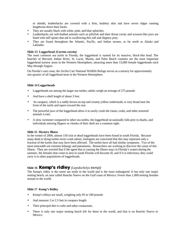or shields, leatherbacks are covered with a firm, leathery skin and have seven ridges running lengthwise down their backs.

- They are usually black with white, pink, and blue splotches.
- Leatherbacks eat soft-bodied animals such as jellyfish and their throat cavity and scissors-like jaws are lined with stiff spines that aid in swallowing this soft and slippery prey.
- They are found throughout the Atlantic, Pacific, and Indian oceans, as far north as Alaska and Labrador.

#### **Slide 13 Loggerhead** *(Caretta caretta)*

The most common sea turtle in Florida, the loggerhead is named for its massive, block-like head. The beaches of Brevard, Indian River, St. Lucie, Martin, and Palm Beach counties are the most important loggerhead nursery areas in the Western Hemisphere, attracting more than 15,000 female loggerheads each May through August.

On Florida's east coast, the Archie Carr National Wildlife Refuge serves as a nursery for approximately one-quarter of all loggerhead nests in the Western Hemisphere.

#### **Slide 14 Loggerheads**

- Loggerheads are among the larger sea turtles; adults weigh an average of 275 pounds
- And have a shell length of about 3 feet.
- Its carapace, which is a ruddy brown on top and creamy yellow underneath, is very broad near the front of the turtle and tapers toward the rear.
- The powerful jaws of the loggerhead allow it to easily crush the clams, crabs, and other armored animals it eats.
- A slow swimmer compared to other sea turtles, the loggerhead occasionally falls prey to sharks, and individuals missing flippers or chunks of their shell are a common sight.

#### **Slide 15 Mystery Illness**

In the winter of 2000, almost 150 sick or dead loggerheads have been found in south Florida. Because many dead or dying turtles never wash ashore, biologists are concerned that this may represent only a fraction of the turtles that may have been affected. The turtles have all had similar symptoms. Two of the most noticeable are extreme lethargy and pneumonia. Researchers are working to discover the cause of this illness. They are worried that if the agent that is causing the illness stays in Florida's waters during the summer, the females that come to nest in south Florida will become ill, and if it is infectious, they could carry it to other populations of loggerheads.

## **Slide 16 Kemp's ridley** *(Lepidochelys kempi)*

The Kemp's ridley is the rarest sea turtle in the world and is the most endangered. It has only one major nesting beach, an area called Rancho Nuevo on the Gulf coast of Mexico. Fewer than 1,000 nesting females remain in the world.

#### **Slide 17 Kemp's Ridley**

- Kemp's ridleys are small, weighing only 85 to 100 pounds
- And measure 2 to 2.5 feet in carapace length.
- Their principal diet is crabs and other crustaceans.
- There is only one major nesting beach left for them in the world, and that is on Rancho Nuevo in Mexico.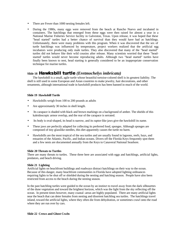- There are Fewer than 1000 nesting females left.
- During the 1980s, many eggs were removed from the beach at Rancho Nuevo and incubated in containers. The hatchlings that emerged from these eggs were then raised for almost a year in a National Marine Fisheries Service facility in Galveston, Texas. Upon release, it was hoped that these "head started" turtles had a better chance of survival than they would have had as hatchlings. Unfortunately, there were many problems with this program. When it was discovered that the sex of turtle hatchlings was influenced by temperature, project workers realized that the artificial egg incubators were producing only male turtles. They also discovered that many of the "head started" turtles did not behave like their wild cousins after release. Many scientists worried that these "headstarted' turtles would never become reproducing adults. Although two "head started" turtles have finally been known to nest, head starting is generally considered to be an inappropriate conservation technique for marine turtles.

## **Slide 18****Hawksbill turtle** *(Eretmochelys imbricata)*

The hawksbill is a small, agile turtle whose beautiful tortoise-colored shell is its greatest liability. The shell is still used in some European and Asian countries to make jewelry, hair decorations, and other ornaments, although international trade in hawksbill products has been banned in much of the world.

#### **Slide 19 Hawksbill Turtle**

- Hawksbills weigh from 100 to 200 pounds as adults
- Are approximately 30 inches in shell length.
- Its carapace is shaded with black and brown markings on a background of amber. The shields of this kaleidoscopic armor overlap, and the rear of the carapace is serrated.
- Its body is oval-shaped, its head is narrow, and its raptor-like jaws give the hawksbill its name.
- These jaws are perfectly adapted for collecting its preferred food, sponges. Although sponges are composed of tiny glasslike needles, this diet apparently causes the turtle no harm.
- Hawksbills are the most tropical of the sea turtles and are usually found in lagoons, reefs, bays, and estuaries of the Atlantic, Pacific, and Indian oceans. Divers off the Florida Keys frequently spot them and a few nests are documented annually from the Keys to Canaveral National Seashore.

#### **Slide 20 Threats to Turtles**

There are many threats to turtles. These three here are associated with eggs and hatchlings, artificial lights, predators, and beach driving.

#### **Slide 21 Lighting**

Artificial lights on beachfront buildings and roadways distract hatchlings on their way to the ocean. Because of this danger, many beachfront communities in Florida have adopted lighting ordinances requiring lights to be shut off or shielded during the nesting and hatching season. People have also been restricted from access to the beach during the nesting season.

In the past hatchling turtles were guided to the ocean by an instinct to travel away from the dark silhouettes of the dune vegetation and toward the brightest horizon, which was the light from the sky reflecting off the ocean. In present times however, many coastal -areas are highly populated. There are many artificial lights near the beach that can deter females from nesting and disorient hatchling sea turtles. The hatchlings travel inland, toward the artificial lights, where they often die from dehydration, or sometimes crawl onto the road where they are run over by cars.

#### **Slide 22 Crows and Ghost Crabs**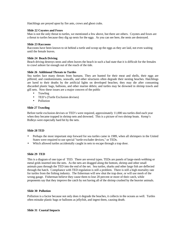Hatchlings are preyed upon by fire ants, crows and ghost crabs.

#### **Slide 22 Coyotes and Foxes**

Man is not the only threat to turtles, we mentioned a few above, but there are others. Coyotes and foxes are a threat to turtles because they dig up nests for the eggs. As you can see here, the nests are destroyed.

#### **Slide 23 Raccoons**

Raccoons have been known to sit behind a turtle and scoop up the eggs as they are laid, not even waiting until the female leaves.

#### **Slide 24 Beach Driving**

Beach driving destroys nests and often leaves the beach in such a bad state that it is difficult for the females to crawl ashore far enough out of the reach of the tide.

#### **Slide 26 Additional Threats to Turtles**

Sea turtles face many threats from humans. They are hunted for their meat and shells, their eggs are pilfered, and condominiums, seawalls, and other structures often degrade their nesting beaches. Hatchlings are lured to their deaths by the artificial lights on developed beaches; they may die after consuming discarded plastic bags, balloons, and other marine debris; and turtles may be drowned in shrimp trawls and gill nets. Now these issues are a major concern of the public

- Trawling
- TED's (Turtle Exclusion devises)
- Pollution

#### . **Slide 27 Trawling**

Before turtle exclusion devises or TED's were required, approximately 11,000 sea turtles died each year when they became trapped in shrimp nets and drowned. This is a picture of two shrimp boats. Kemp's Ridleys were especially hard hit by the nets.

#### **Slide 28 TED**

- Perhaps the most important step forward for sea turtles came in 1989, when all shrimpers in the United States were required to use special "turtle-excluder devices," or TEDs.
- Which allowed turtles accidentally caught in nets to escape through a trap door.

#### **Slide 29 TED**

This is a diagram of one type of TED. There are several types. TEDs are panels of large-mesh webbing or metal grids inserted into the nets. As the nets are dragged along the bottom, shrimp and other small animals pass through the TED into the end of the net. Sea turtles, sharks and other large fish are deflected through the hatch. Compliance with TED regulation is still a problem. There is still a high mortality rate for turtles from the fishing industry. The fisherman will sew shut the trap door, or will use mesh of the wrong gauge. Fisherman believe they cause them to lose 20 percent or more of their catch, while proponents say that they improve the catch by not having all of the shrimp crushed by the heavier animals.

#### **Slide 30 Pollution**

Pollution is a factor because not only does it degrade the beaches, it collects in the oceans as well. Turtles often mistake plastic bags or balloons as jellyfish, and ingest them, causing death.

#### **Slide 31 Coastal Impacts**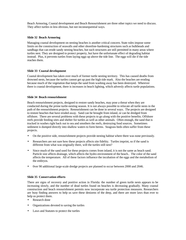Beach Armoring, Coastal development and Beach Renourishment are three other topics we need to discuss. They affect turtles in less obvious, but not inconsequential ways.

#### **Slide 32 Beach Armoring**

Managing coastal development on nesting beaches is another critical concern. State rules impose some limits on the construction of seawalls and other shoreline-hardening structures such as bulkheads and sandbags that can erode sandy nesting beaches, but such structures are still permitted in many areas where turtles nest. They are designed to protect property, but have the unfortunate effect of degrading habitat instead. Plus, it prevents turtles from laying eggs up above the tide line. The eggs will die if the tide reaches them.

#### **Slide 33 Coastal development**

Coastal development has taken over much of former turtle nesting territory. This has caused deaths from drowned nests, because the turtles cannot get up past the high tide mark. Also the beaches are eroding because much of the vegetation that keeps the sand from washing away has been destroyed. Wherever there is coastal development, there is increases in beach lighting, which adversly affects turtle populations.

#### **Slide 34 Beach renourishment**

Beach renourishment projects, designed to restore sandy beaches, may pose a threat when they are conducted during the prime turtle-nesting season. It is not always possible to relocate all turtle nests in the path of the renourishment projects. Renourishment can be done in several ways. The projects are designed to restore beaches that have eroded away. Sand can be brought from inland, or can be dredged from offshore. There are several problems with these projects to go along with the positive benefits. Offshore reefs provide feeding sites and shelter for turtles as well as other animals. Often enough, the sand that is trucked in washes right back out to sea and smothers the reefs, destroying food sources. Sometimes sediment is dumped directly into shallow waters to form berms. Seagrass beds often suffer from these projects.

- On the positive side, renourishment projects provide nesting habitat where there was none previously.
- Researchers are not sure how these projects affects site fidelity. Turtles imprint, so if the sand is different from what was originally there, will the turtles still nest?
- Since much of the sand used for these projects comes from inland, it is not the same as beach sand. Particle size affects drainage, which affects the hydro environment of the beach.. The color of the sand affects the temperature. All of these factors influence the incubation of the eggs and the metabolism of the embryos.
- 0ver 90 additional large-scale dredge projects are planned to occur between 2000 and 2046.

#### **Slide 35 Conservation efforts**

There are signs of recovery and positive action in Florida: the number of green turtle nests appears to be increasing slowly, and the number of dead turtles found on beaches is decreasing gradually. Many coastal construction and beach renourishment permits now incorporate sea turtle protection measures. Researchers are busy finding answers to help us save these denizens of the deep, and there are more laws than ever to help us protect them.

- Research done
- Organizations devoted to saving the turtles
- Laws and Statutes to protect the turtles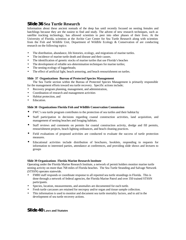# **Slide 36 Sea Turtle Research**

Information about these ancient nomads of the deep has until recently focused on nesting females and hatchlings because they are the easiest to find and study. The advent of new research techniques, such as satellite tracking technology, has allowed scientists to peer into other phases of their lives. At the University of Florida, scientists at the Archie Carr Center for Sea Turtle Research along with scientists from the Fish and Wildlife Unit, Department of Wildlife Ecology & Conservation of are conducting research on the following topics:

- The distribution, abundance, life histories, ecology, and migrations of marine turtles.
- The incidence of marine turtle death and disease and their causes.
- The identification of genetic stocks of marine turtles that use Florida's beaches
- The development of reliable sex-determination techniques for marine turtles;
- The nesting ecology of loggerheads;
- The effect of artificial light, beach armoring, and beach renourishment on turtles.

#### **Slide 37 Organizations Bureau of Protected Species Management**

The Sea Turtle section within the Bureau of Protected Species Management is primarily responsible for the management efforts toward sea turtle recovery. Specific actions include;

- Recovery program planning, management, and administration,
- Coordination of research and management activities
- Habitat protection, and
- Education.

#### **Slide 38 Organizations Florida Fish and Wildlife Conservation Commission**

- FWC's sea turtle program contributes to the protection of sea turtles and their habitat by
- Staff participation in decisions regarding coastal construction activities, land acquisition, and management of nesting beaches and foraging habitats.
- Staff reviews and comments on permits for coastal construction activity, dredge and fill permits, renourishment projects, beach lighting ordinances, and beach cleaning practices.
- Field evaluations of proposed activities are conducted to evaluate the success of turtle protection measures.
- Educational activities include distribution of brochures, booklets, responding to requests for information to interested parties, attendance at conferences, and providing slide shows and lectures to groups

#### **Slide 39 Organizations Florida Marine Research Institute**

Operating under the Florida Marine Research Institute, a network of permit holders monitor marine turtle nesting activity on more than 768 miles of Florida beaches. The Sea Turtle Stranding and Salvage Network (STSSN) operates statewide.

- FMRI staff responds or coordinate response to all reported sea turtle strandings in Florida. This is done through a network of federal agencies, the Florida Marine Patrol and over 350 trained STSSN participants.
- Species, location, measurements, and anomalies are documented for each turtle.
- Fresh turtle carcasses are retained for necropsy and/or organ and tissue sample collection.
- This information is used to monitor and document sea turtle mortality factors, and to aid in the development of sea turtle recovery actions.

## **Slide 40 Laws and Statutes**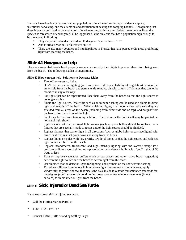Humans have drastically reduced natural populations of marine turtles through incidental capture, intentional harvesting, and the alteration and destruction of nesting and foraging habitats. Recognizing that these impacts could lead to the extinction of marine turtles, both state and federal governments listed the species as threatened or endangered. (The loggerhead is the only one that has a population high enough to be threatened in Florida).

- They are protected under the Federal Endangered Species Act of 1973.
- And Florida's Marine Turtle Protection Act.
- There are also many counties and municipalities in Florida that have passed ordinances prohibiting light from reaching the beach.

## **Slide 41 How you can help**

There are ways that beach front property owners can modify their lights to prevent them from being seen from the beach. The following is a list of suggestions.

#### **Slide 42 How you can help Solutions to Decrease Light**

- Turn off unnecessary lights.
- Don't use decorative lighting (such as runner lights or uplighting of vegetation) in areas that are visible from the beach and permanently remove, disable, or turn off fixtures that cannot be modified in any other way.
- For lights that can be repositioned, face them away from the beach so that the light source is no longer visible.
- Shield the light source. Materials such as aluminum flashing can be used as a shield to direct light and keep it off the beach. When shielding lights, it is important to make sure they are shielded from all areas on the beach (including from either side and on top), and not just from the beach directly in front of the light.
- Paint may be used as a temporary solution. The fixture or the buld itself may be painted, so no lateral light shows.
- Light sockets with an exposed light source (such as plain bulbs) should be replaced with fixtures that are specially made to recess and/or the light source should be shielded.
- Replace fixtures that scatter light in all directions (such as globe lights or carriage lights) with directional fixtures that point down and away from the beach.
- Replace lights on poles with low profile, low-level lamps so that the light source and reflected light are not visible from the beach.
- Replace incandescent, fluorescent, and high intensity lighting with the lowest wattage lowpressure sodium vapor lighting or replace white incandescent bulbs with "bug" lights of 50 watts or less.
- Plant or improve vegetation buffers (such as sea grapes and other native beach vegetation) between the light source and the beach to screen light from the beach.
- Use shielded motion detector lights for lighting, and set them on the shortest time setting.
- To reduce spillover from indoor lighting move light fixtures away from windows, apply window tint to your windows that meets the 45% inside to outside transmittance standards for tinted glass (you'll save on air conditioning costs too), or use window treatments (blinds, curtains) to shield interior lights from the beach.

# **Slide 43 Sick, Injured or Dead Sea Turtle**

If you see a dead, sick or injured sea turtle:

- Call the Florida Marine Patrol at
- 1-800-DIAL-FMP or
- Contact FMRI Turtle Stranding Staff by Pager